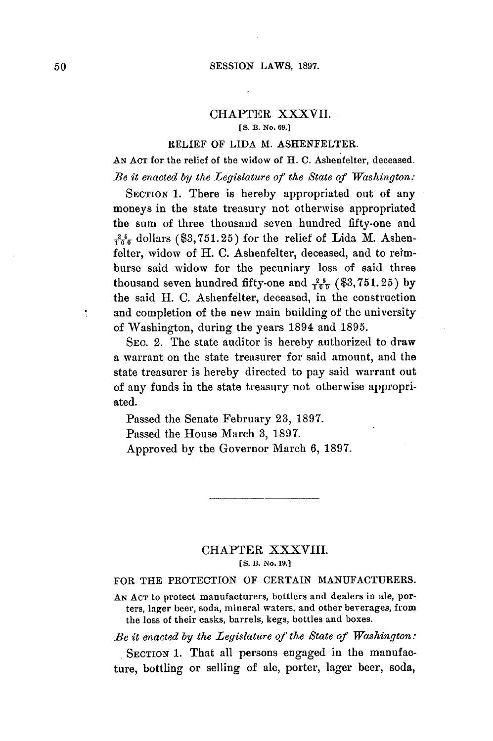### CHAPTER XXXVII. **[S. B. No. 69.]**

### RELIEF OF **LIDA** M. **ASHENFELTER.**

**AN ACT** for the relief of the widow of H. **C.** Ashenfelter, deceased. *Be it enacted by the Legislature of the State of Washington:*

SECTION 1. There is hereby appropriated out of any moneys in the state treasury not otherwise appropriated the sum of three thousand seven hundred fifty-one and  $\frac{25}{100}$  dollars (\$3,751.25) for the relief of Lida M. Ashenfelter, widow of H. **C.** Ashenfelter, deceased, and to reimburse said widow for the pecuniary loss of said three thousand seven hundred fifty-one and  $\frac{25}{100}$  (\$3,751.25) by the said H. **C.** Ashenfelter, deceased, in the construction and completion of the new main building of the university of Washington, during the years 1894 and **1895.**

SEC. 2. The state auditor is hereby authorized to draw a warrant on the state treasurer for said amount, and the state treasurer is hereby directed to **pay** said warrant out of any funds in the state treasury not otherwise appropriated.

Passed the Senate February **23, 1897.**

Passed the House March **3, 1897.**

Approved **by** the Governor March **6, 1897.**

# CHAPTER XXXVIII. **[S. B. No. 19.]**

## FOR THE PROTECTION OF **CERTAIN MANUFACTURERS.**

**AN AcT** to protect manufacturers, bottlers and dealers in ale, porters, lager beer, soda, mineral waters, and other beverages, from the loss of their casks, barrels, kegs, bottles and boxes.

*Be it enacted by the Legislature of the State of Washington:*

SECTION 1. That all persons engaged in the manufacture, bottling or selling of ale, porter, lager beer, soda,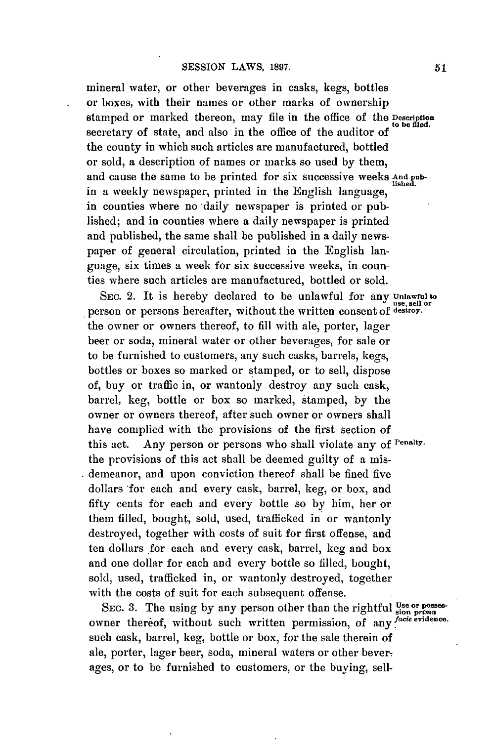mineral water, or other beverages in casks, kegs, bottles or boxes, with their names or other marks of ownership stamped or marked thereon, may file in the office of the **Description** to **be** fled. secretary of state, and also in the office of the auditor **of** the county in which such articles are manufactured, bottled or sold, a description of names or marks so used **by** them, and cause the same to be printed for six successive weeks And pubin a weekly newspaper, printed in the English language, in counties where no daily newspaper is printed or published; and in counties where a daily newspaper is printed and published, the same shall be published in a daily newspaper of general circulation, printed in the English language, six times a week for six successive weeks, in counties where such articles are manufactured, bottled or sold.

SEC. 2. It is hereby declared to be unlawful for any **Unlawful to use, sell or** person or persons hereafter, without the written consent of **destroy.** the owner or owners thereof, to **fill** with ale, porter, lager beer or soda, mineral water or other beverages, for sale or to be furnished to customers, any such casks, barrels, kegs, bottles or boxes so marked or stamped, or to sell, dispose of, buy or traffic in, or wantonly destroy any such cask, barrel, keg, bottle or box so marked, stamped, **by** the owner or owners thereof, after such owner or owners shall have complied with the provisions of the first section of this act. Any person or persons who shall violate any **of Penalty.** the provisions of this act shall be deemed guilty of a misdemeanor, and upon conviction thereof shall be fined five dollars for each and every cask, barrel, keg, or box, and fifty cents for each and every bottle so **by** him, her or them filled, bought, sold, used, trafficked in or wantonly destroyed, together with costs of suit for first offense, and ten dollars for each and every cask, barrel, keg and box and one dollar for each and every bottle so filled, bought, sold, used, trafficked in, or wantonly destroyed, together with the costs of suit for each subsequent offense.

SEC. 3. The using by any person other than the rightful  $\frac{\text{Use or posses}}{\text{sin prime}}$ owner thereof, without such written permission, of any *facie* **evidence.** such cask, barrel, keg, bottle or box, for the sale therein of ale, porter, lager beer, soda, mineral waters or other beverages, or to be furnished to customers, or the buying, seU-

**51**